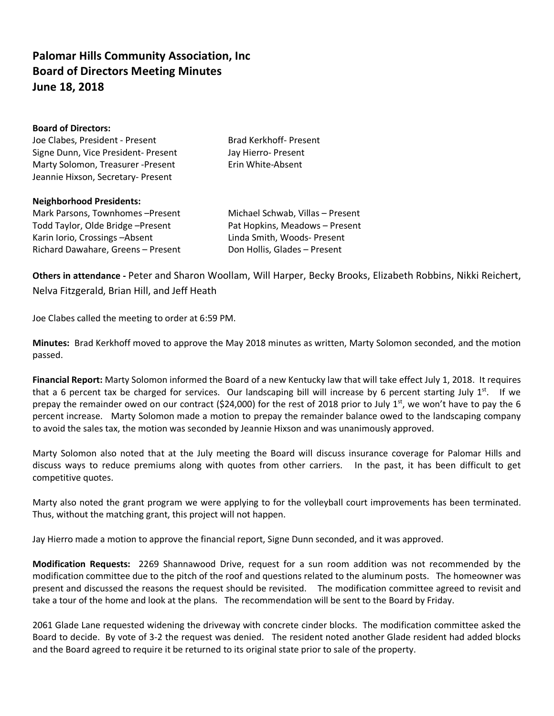## **Palomar Hills Community Association, Inc Board of Directors Meeting Minutes June 18, 2018**

| <b>Board of Directors:</b>          |                                  |
|-------------------------------------|----------------------------------|
| Joe Clabes, President - Present     | <b>Brad Kerkhoff- Present</b>    |
| Signe Dunn, Vice President- Present | Jay Hierro- Present              |
| Marty Solomon, Treasurer -Present   | Erin White-Absent                |
| Jeannie Hixson, Secretary- Present  |                                  |
| <b>Neighborhood Presidents:</b>     |                                  |
| Mark Parsons, Townhomes-Present     | Michael Schwab, Villas - Present |
| Todd Taylor, Olde Bridge-Present    | Pat Hopkins, Meadows - Present   |

Karin Iorio, Crossings -Absent Linda Smith, Woods- Present Richard Dawahare, Greens – Present Don Hollis, Glades – Present

**Others in attendance -** Peter and Sharon Woollam, Will Harper, Becky Brooks, Elizabeth Robbins, Nikki Reichert, Nelva Fitzgerald, Brian Hill, and Jeff Heath

Joe Clabes called the meeting to order at 6:59 PM.

**Minutes:** Brad Kerkhoff moved to approve the May 2018 minutes as written, Marty Solomon seconded, and the motion passed.

**Financial Report:** Marty Solomon informed the Board of a new Kentucky law that will take effect July 1, 2018. It requires that a 6 percent tax be charged for services. Our landscaping bill will increase by 6 percent starting July  $1^{st}$ . If we prepay the remainder owed on our contract (\$24,000) for the rest of 2018 prior to July 1st, we won't have to pay the 6 percent increase. Marty Solomon made a motion to prepay the remainder balance owed to the landscaping company to avoid the sales tax, the motion was seconded by Jeannie Hixson and was unanimously approved.

Marty Solomon also noted that at the July meeting the Board will discuss insurance coverage for Palomar Hills and discuss ways to reduce premiums along with quotes from other carriers. In the past, it has been difficult to get competitive quotes.

Marty also noted the grant program we were applying to for the volleyball court improvements has been terminated. Thus, without the matching grant, this project will not happen.

Jay Hierro made a motion to approve the financial report, Signe Dunn seconded, and it was approved.

**Modification Requests:** 2269 Shannawood Drive, request for a sun room addition was not recommended by the modification committee due to the pitch of the roof and questions related to the aluminum posts. The homeowner was present and discussed the reasons the request should be revisited. The modification committee agreed to revisit and take a tour of the home and look at the plans. The recommendation will be sent to the Board by Friday.

2061 Glade Lane requested widening the driveway with concrete cinder blocks. The modification committee asked the Board to decide. By vote of 3-2 the request was denied. The resident noted another Glade resident had added blocks and the Board agreed to require it be returned to its original state prior to sale of the property.